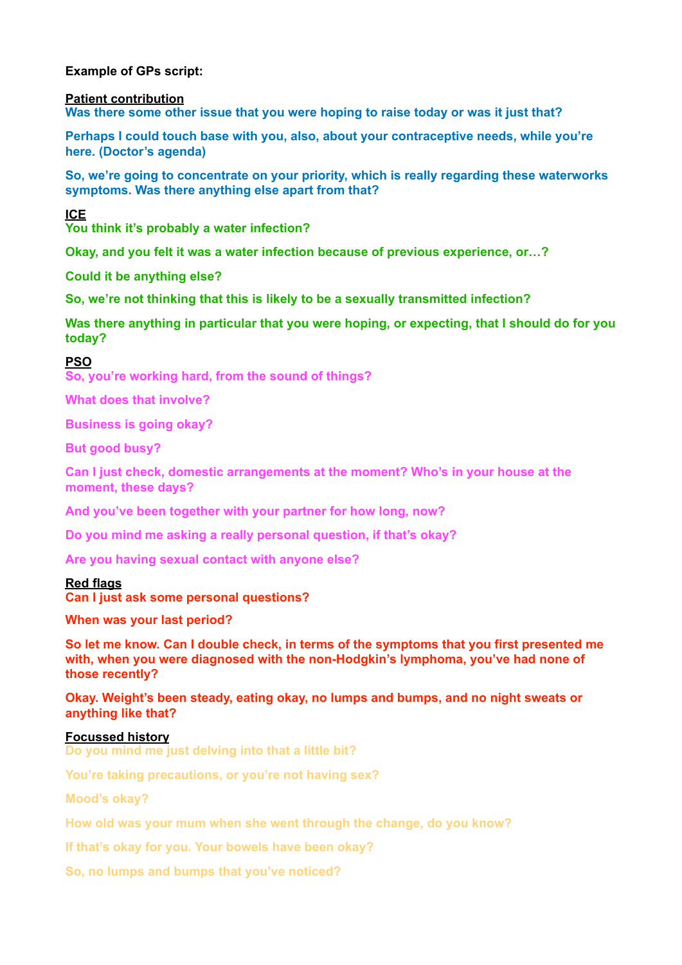**Example of GPs script:** 

**Patient contribution** 

**Was there some other issue that you were hoping to raise today or was it just that?** 

**Perhaps I could touch base with you, also, about your contraceptive needs, while you're here. (Doctor's agenda)** 

**So, we're going to concentrate on your priority, which is really regarding these waterworks symptoms. Was there anything else apart from that?** 

**ICE** 

**You think it's probably a water infection?** 

**Okay, and you felt it was a water infection because of previous experience, or…?** 

**Could it be anything else?** 

**So, we're not thinking that this is likely to be a sexually transmitted infection?** 

**Was there anything in particular that you were hoping, or expecting, that I should do for you today?** 

**PSO** 

**So, you're working hard, from the sound of things?** 

**What does that involve?** 

**Business is going okay?** 

**But good busy?** 

**Can I just check, domestic arrangements at the moment? Who's in your house at the moment, these days?** 

**And you've been together with your partner for how long, now?** 

**Do you mind me asking a really personal question, if that's okay?** 

**Are you having sexual contact with anyone else?** 

**Red flags Can I just ask some personal questions?** 

**When was your last period?** 

**So let me know. Can I double check, in terms of the symptoms that you first presented me with, when you were diagnosed with the non-Hodgkin's lymphoma, you've had none of those recently?** 

**Okay. Weight's been steady, eating okay, no lumps and bumps, and no night sweats or anything like that?** 

## **Focussed history**

**Do you mind me just delving into that a little bit?** 

**You're taking precautions, or you're not having sex?** 

**Mood's okay?** 

**How old was your mum when she went through the change, do you know?** 

**If that's okay for you. Your bowels have been okay?** 

**So, no lumps and bumps that you've noticed?**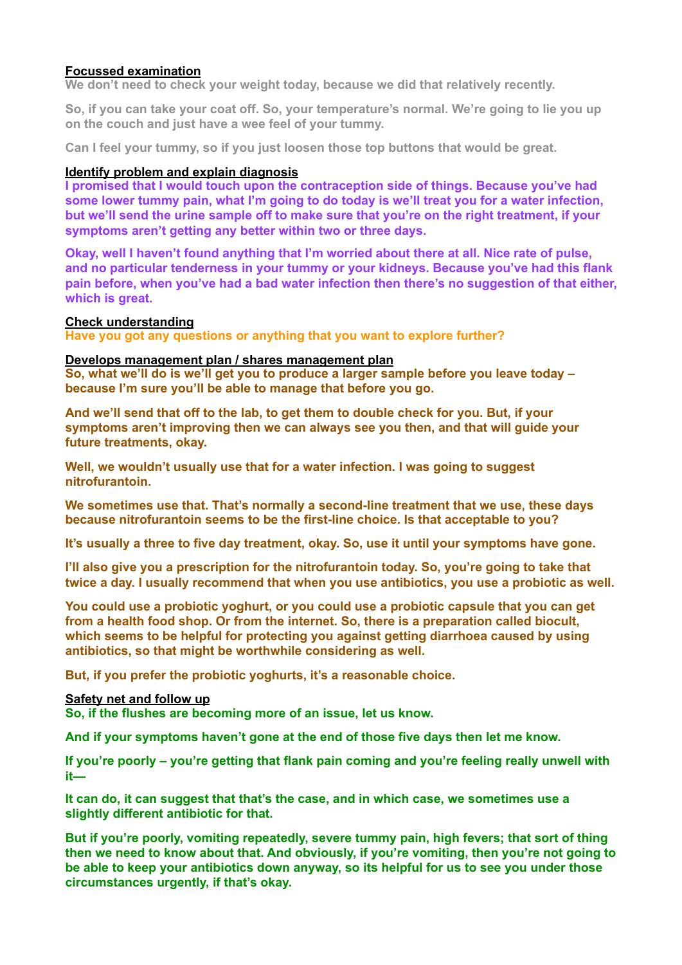# **Focussed examination**

**We don't need to check your weight today, because we did that relatively recently.** 

**So, if you can take your coat off. So, your temperature's normal. We're going to lie you up on the couch and just have a wee feel of your tummy.** 

**Can I feel your tummy, so if you just loosen those top buttons that would be great.** 

# **Identify problem and explain diagnosis**

**I promised that I would touch upon the contraception side of things. Because you've had some lower tummy pain, what I'm going to do today is we'll treat you for a water infection, but we'll send the urine sample off to make sure that you're on the right treatment, if your symptoms aren't getting any better within two or three days.** 

**Okay, well I haven't found anything that I'm worried about there at all. Nice rate of pulse, and no particular tenderness in your tummy or your kidneys. Because you've had this flank pain before, when you've had a bad water infection then there's no suggestion of that either, which is great.** 

## **Check understanding**

**Have you got any questions or anything that you want to explore further?** 

# **Develops management plan / shares management plan**

**So, what we'll do is we'll get you to produce a larger sample before you leave today – because I'm sure you'll be able to manage that before you go.** 

**And we'll send that off to the lab, to get them to double check for you. But, if your symptoms aren't improving then we can always see you then, and that will guide your future treatments, okay.** 

**Well, we wouldn't usually use that for a water infection. I was going to suggest nitrofurantoin.** 

**We sometimes use that. That's normally a second-line treatment that we use, these days because nitrofurantoin seems to be the first-line choice. Is that acceptable to you?** 

**It's usually a three to five day treatment, okay. So, use it until your symptoms have gone.** 

**I'll also give you a prescription for the nitrofurantoin today. So, you're going to take that twice a day. I usually recommend that when you use antibiotics, you use a probiotic as well.** 

**You could use a probiotic yoghurt, or you could use a probiotic capsule that you can get from a health food shop. Or from the internet. So, there is a preparation called biocult, which seems to be helpful for protecting you against getting diarrhoea caused by using antibiotics, so that might be worthwhile considering as well.** 

**But, if you prefer the probiotic yoghurts, it's a reasonable choice.** 

## **Safety net and follow up**

**So, if the flushes are becoming more of an issue, let us know.** 

**And if your symptoms haven't gone at the end of those five days then let me know.** 

**If you're poorly – you're getting that flank pain coming and you're feeling really unwell with it—** 

**It can do, it can suggest that that's the case, and in which case, we sometimes use a slightly different antibiotic for that.** 

**But if you're poorly, vomiting repeatedly, severe tummy pain, high fevers; that sort of thing then we need to know about that. And obviously, if you're vomiting, then you're not going to be able to keep your antibiotics down anyway, so its helpful for us to see you under those circumstances urgently, if that's okay.**